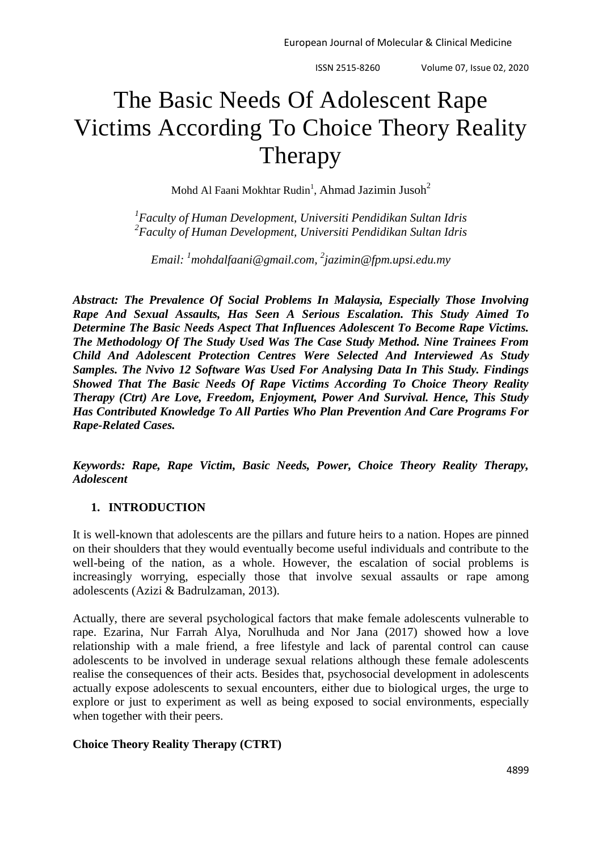# The Basic Needs Of Adolescent Rape Victims According To Choice Theory Reality Therapy

Mohd Al Faani Mokhtar Rudin<sup>1</sup>, Ahmad Jazimin Jusoh<sup>2</sup>

*1 Faculty of Human Development, Universiti Pendidikan Sultan Idris 2 Faculty of Human Development, Universiti Pendidikan Sultan Idris*

*Email: <sup>1</sup>[mohdalfaani@gmail.com,](mailto:1mohdalfaani@gmail.com) 2 jazimin@fpm.upsi.edu.my*

*Abstract: The Prevalence Of Social Problems In Malaysia, Especially Those Involving Rape And Sexual Assaults, Has Seen A Serious Escalation. This Study Aimed To Determine The Basic Needs Aspect That Influences Adolescent To Become Rape Victims. The Methodology Of The Study Used Was The Case Study Method. Nine Trainees From Child And Adolescent Protection Centres Were Selected And Interviewed As Study Samples. The Nvivo 12 Software Was Used For Analysing Data In This Study. Findings Showed That The Basic Needs Of Rape Victims According To Choice Theory Reality Therapy (Ctrt) Are Love, Freedom, Enjoyment, Power And Survival. Hence, This Study Has Contributed Knowledge To All Parties Who Plan Prevention And Care Programs For Rape-Related Cases.*

*Keywords: Rape, Rape Victim, Basic Needs, Power, Choice Theory Reality Therapy, Adolescent*

# **1. INTRODUCTION**

It is well-known that adolescents are the pillars and future heirs to a nation. Hopes are pinned on their shoulders that they would eventually become useful individuals and contribute to the well-being of the nation, as a whole. However, the escalation of social problems is increasingly worrying, especially those that involve sexual assaults or rape among adolescents (Azizi & Badrulzaman, 2013).

Actually, there are several psychological factors that make female adolescents vulnerable to rape. Ezarina, Nur Farrah Alya, Norulhuda and Nor Jana (2017) showed how a love relationship with a male friend, a free lifestyle and lack of parental control can cause adolescents to be involved in underage sexual relations although these female adolescents realise the consequences of their acts. Besides that, psychosocial development in adolescents actually expose adolescents to sexual encounters, either due to biological urges, the urge to explore or just to experiment as well as being exposed to social environments, especially when together with their peers.

# **Choice Theory Reality Therapy (CTRT)**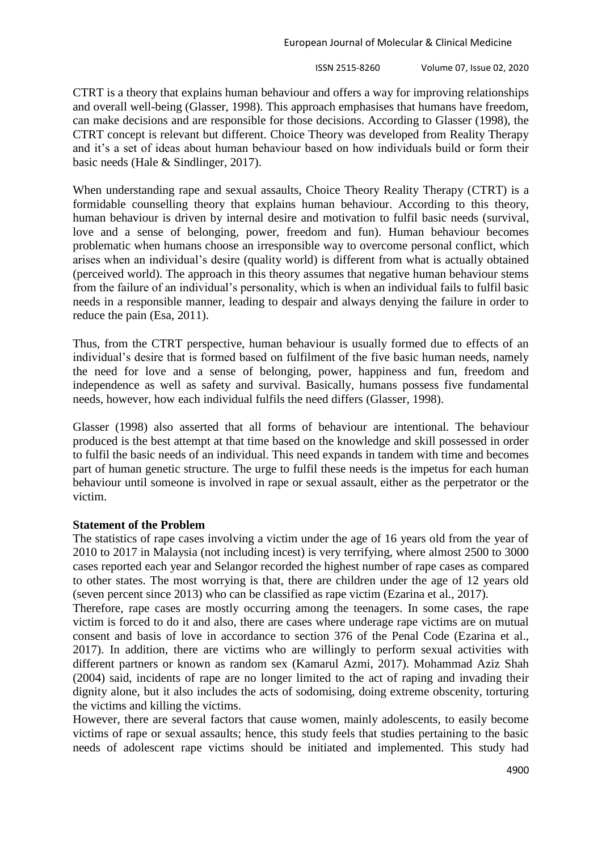CTRT is a theory that explains human behaviour and offers a way for improving relationships and overall well-being (Glasser, 1998). This approach emphasises that humans have freedom, can make decisions and are responsible for those decisions. According to Glasser (1998), the CTRT concept is relevant but different. Choice Theory was developed from Reality Therapy and it"s a set of ideas about human behaviour based on how individuals build or form their basic needs (Hale & Sindlinger, 2017).

When understanding rape and sexual assaults, Choice Theory Reality Therapy (CTRT) is a formidable counselling theory that explains human behaviour. According to this theory, human behaviour is driven by internal desire and motivation to fulfil basic needs (survival, love and a sense of belonging, power, freedom and fun). Human behaviour becomes problematic when humans choose an irresponsible way to overcome personal conflict, which arises when an individual"s desire (quality world) is different from what is actually obtained (perceived world). The approach in this theory assumes that negative human behaviour stems from the failure of an individual"s personality, which is when an individual fails to fulfil basic needs in a responsible manner, leading to despair and always denying the failure in order to reduce the pain (Esa, 2011).

Thus, from the CTRT perspective, human behaviour is usually formed due to effects of an individual"s desire that is formed based on fulfilment of the five basic human needs, namely the need for love and a sense of belonging, power, happiness and fun, freedom and independence as well as safety and survival. Basically, humans possess five fundamental needs, however, how each individual fulfils the need differs (Glasser, 1998).

Glasser (1998) also asserted that all forms of behaviour are intentional. The behaviour produced is the best attempt at that time based on the knowledge and skill possessed in order to fulfil the basic needs of an individual. This need expands in tandem with time and becomes part of human genetic structure. The urge to fulfil these needs is the impetus for each human behaviour until someone is involved in rape or sexual assault, either as the perpetrator or the victim.

## **Statement of the Problem**

The statistics of rape cases involving a victim under the age of 16 years old from the year of 2010 to 2017 in Malaysia (not including incest) is very terrifying, where almost 2500 to 3000 cases reported each year and Selangor recorded the highest number of rape cases as compared to other states. The most worrying is that, there are children under the age of 12 years old (seven percent since 2013) who can be classified as rape victim (Ezarina et al., 2017).

Therefore, rape cases are mostly occurring among the teenagers. In some cases, the rape victim is forced to do it and also, there are cases where underage rape victims are on mutual consent and basis of love in accordance to section 376 of the Penal Code (Ezarina et al., 2017). In addition, there are victims who are willingly to perform sexual activities with different partners or known as random sex (Kamarul Azmi, 2017). Mohammad Aziz Shah (2004) said, incidents of rape are no longer limited to the act of raping and invading their dignity alone, but it also includes the acts of sodomising, doing extreme obscenity, torturing the victims and killing the victims.

However, there are several factors that cause women, mainly adolescents, to easily become victims of rape or sexual assaults; hence, this study feels that studies pertaining to the basic needs of adolescent rape victims should be initiated and implemented. This study had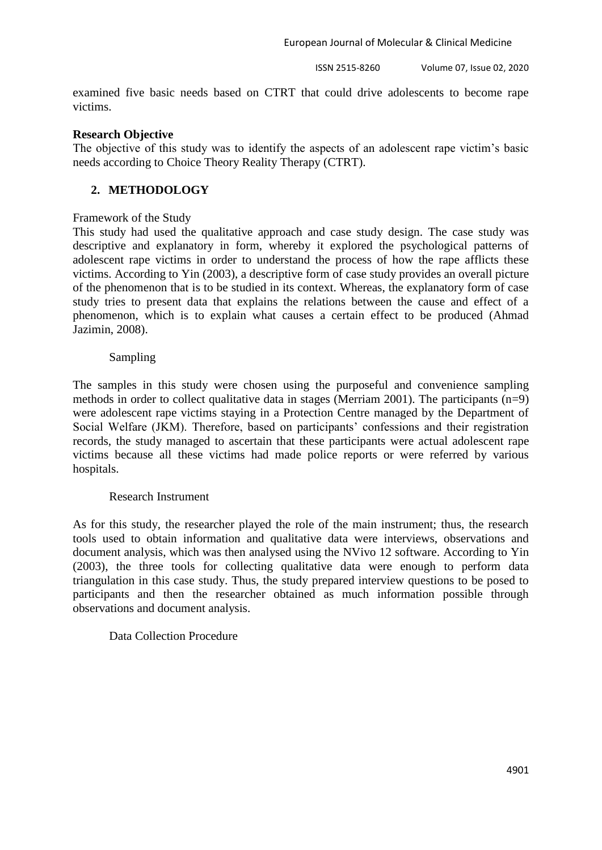ISSN 2515-8260 Volume 07, Issue 02, 2020

examined five basic needs based on CTRT that could drive adolescents to become rape victims.

## **Research Objective**

The objective of this study was to identify the aspects of an adolescent rape victim"s basic needs according to Choice Theory Reality Therapy (CTRT).

# **2. METHODOLOGY**

## Framework of the Study

This study had used the qualitative approach and case study design. The case study was descriptive and explanatory in form, whereby it explored the psychological patterns of adolescent rape victims in order to understand the process of how the rape afflicts these victims. According to Yin (2003), a descriptive form of case study provides an overall picture of the phenomenon that is to be studied in its context. Whereas, the explanatory form of case study tries to present data that explains the relations between the cause and effect of a phenomenon, which is to explain what causes a certain effect to be produced (Ahmad Jazimin, 2008).

## Sampling

The samples in this study were chosen using the purposeful and convenience sampling methods in order to collect qualitative data in stages (Merriam 2001). The participants (n=9) were adolescent rape victims staying in a Protection Centre managed by the Department of Social Welfare (JKM). Therefore, based on participants' confessions and their registration records, the study managed to ascertain that these participants were actual adolescent rape victims because all these victims had made police reports or were referred by various hospitals.

## Research Instrument

As for this study, the researcher played the role of the main instrument; thus, the research tools used to obtain information and qualitative data were interviews, observations and document analysis, which was then analysed using the NVivo 12 software. According to Yin (2003), the three tools for collecting qualitative data were enough to perform data triangulation in this case study. Thus, the study prepared interview questions to be posed to participants and then the researcher obtained as much information possible through observations and document analysis.

# Data Collection Procedure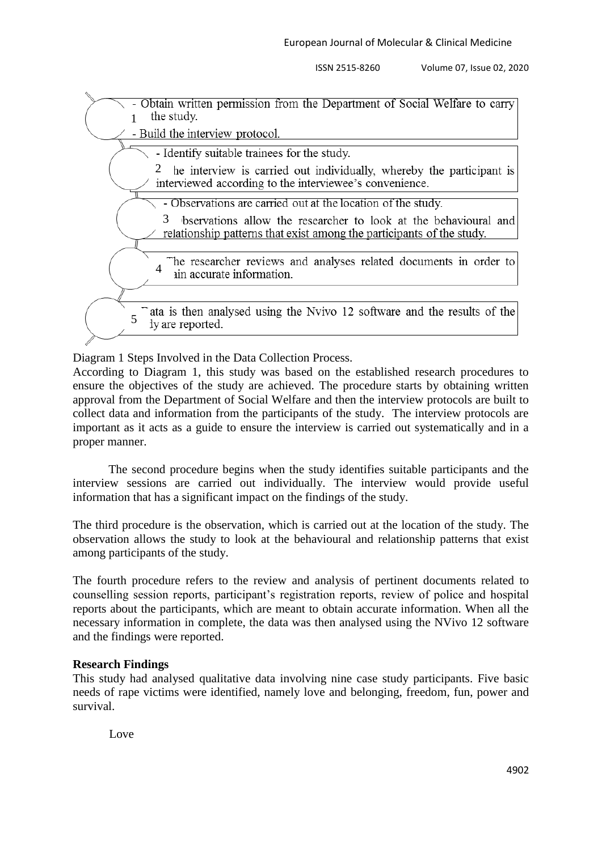

Diagram 1 Steps Involved in the Data Collection Process.

According to Diagram 1, this study was based on the established research procedures to ensure the objectives of the study are achieved. The procedure starts by obtaining written approval from the Department of Social Welfare and then the interview protocols are built to collect data and information from the participants of the study. The interview protocols are important as it acts as a guide to ensure the interview is carried out systematically and in a proper manner.

The second procedure begins when the study identifies suitable participants and the interview sessions are carried out individually. The interview would provide useful information that has a significant impact on the findings of the study.

The third procedure is the observation, which is carried out at the location of the study. The observation allows the study to look at the behavioural and relationship patterns that exist among participants of the study.

The fourth procedure refers to the review and analysis of pertinent documents related to counselling session reports, participant"s registration reports, review of police and hospital reports about the participants, which are meant to obtain accurate information. When all the necessary information in complete, the data was then analysed using the NVivo 12 software and the findings were reported.

# **Research Findings**

This study had analysed qualitative data involving nine case study participants. Five basic needs of rape victims were identified, namely love and belonging, freedom, fun, power and survival.

Love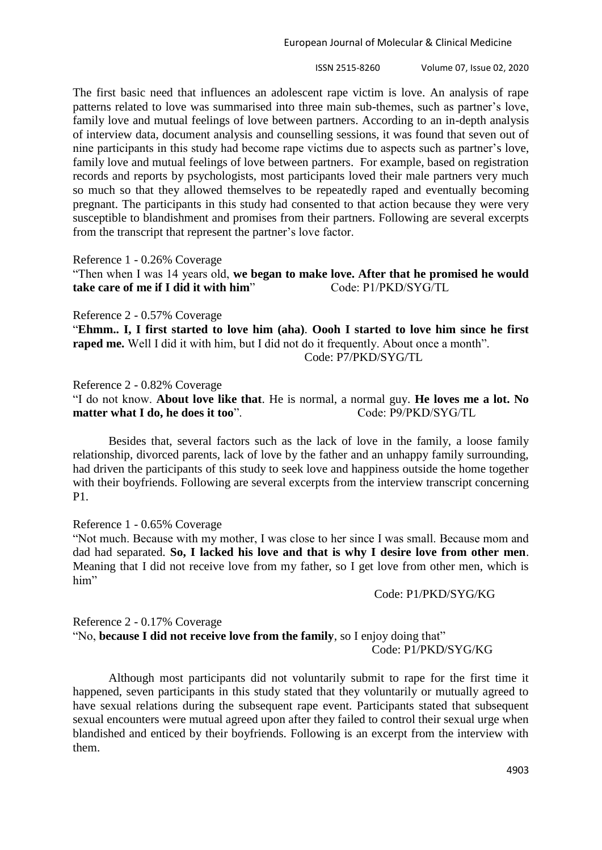ISSN 2515-8260 Volume 07, Issue 02, 2020

The first basic need that influences an adolescent rape victim is love. An analysis of rape patterns related to love was summarised into three main sub-themes, such as partner's love, family love and mutual feelings of love between partners. According to an in-depth analysis of interview data, document analysis and counselling sessions, it was found that seven out of nine participants in this study had become rape victims due to aspects such as partner"s love, family love and mutual feelings of love between partners. For example, based on registration records and reports by psychologists, most participants loved their male partners very much so much so that they allowed themselves to be repeatedly raped and eventually becoming pregnant. The participants in this study had consented to that action because they were very susceptible to blandishment and promises from their partners. Following are several excerpts from the transcript that represent the partner's love factor.

Reference 1 - 0.26% Coverage

"Then when I was 14 years old, **we began to make love. After that he promised he would take care of me if I did it with him**" Code: P1/PKD/SYG/TL

Reference 2 - 0.57% Coverage

"**Ehmm.. I, I first started to love him (aha)**. **Oooh I started to love him since he first raped me.** Well I did it with him, but I did not do it frequently. About once a month". Code: P7/PKD/SYG/TL

Reference 2 - 0.82% Coverage

"I do not know. **About love like that**. He is normal, a normal guy. **He loves me a lot. No matter what I do, he does it too**". Code: P9/PKD/SYG/TL

Besides that, several factors such as the lack of love in the family, a loose family relationship, divorced parents, lack of love by the father and an unhappy family surrounding, had driven the participants of this study to seek love and happiness outside the home together with their boyfriends. Following are several excerpts from the interview transcript concerning P1.

Reference 1 - 0.65% Coverage

"Not much. Because with my mother, I was close to her since I was small. Because mom and dad had separated. **So, I lacked his love and that is why I desire love from other men**. Meaning that I did not receive love from my father, so I get love from other men, which is him"

Code: P1/PKD/SYG/KG

Reference 2 - 0.17% Coverage "No, **because I did not receive love from the family**, so I enjoy doing that" Code: P1/PKD/SYG/KG

Although most participants did not voluntarily submit to rape for the first time it happened, seven participants in this study stated that they voluntarily or mutually agreed to have sexual relations during the subsequent rape event. Participants stated that subsequent sexual encounters were mutual agreed upon after they failed to control their sexual urge when blandished and enticed by their boyfriends. Following is an excerpt from the interview with them.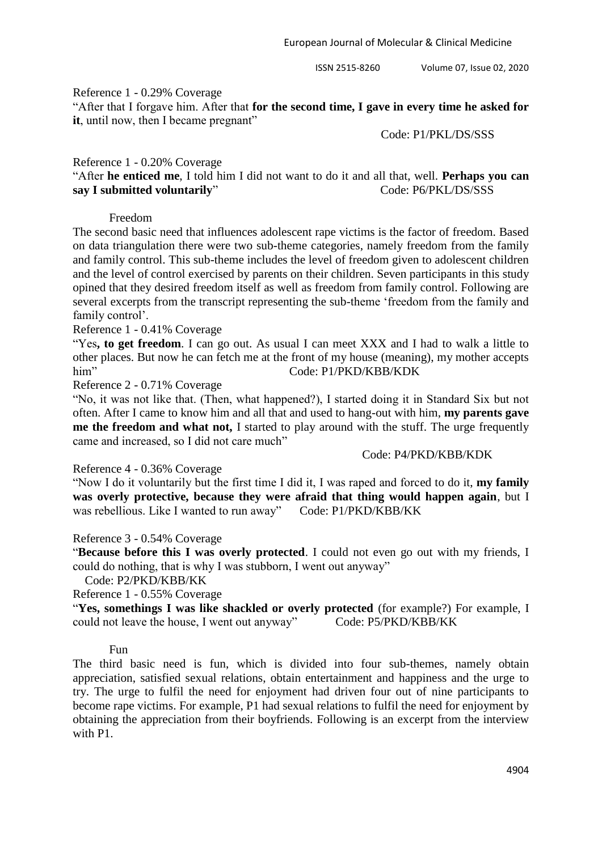#### Reference 1 - 0.29% Coverage

"After that I forgave him. After that **for the second time, I gave in every time he asked for it**, until now, then I became pregnant"

#### Code: P1/PKL/DS/SSS

#### Reference 1 - 0.20% Coverage

"After **he enticed me**, I told him I did not want to do it and all that, well. **Perhaps you can say I submitted voluntarily**" Code: P6/PKL/DS/SSS

#### Freedom

The second basic need that influences adolescent rape victims is the factor of freedom. Based on data triangulation there were two sub-theme categories, namely freedom from the family and family control. This sub-theme includes the level of freedom given to adolescent children and the level of control exercised by parents on their children. Seven participants in this study opined that they desired freedom itself as well as freedom from family control. Following are several excerpts from the transcript representing the sub-theme "freedom from the family and family control'.

#### Reference 1 - 0.41% Coverage

"Yes**, to get freedom**. I can go out. As usual I can meet XXX and I had to walk a little to other places. But now he can fetch me at the front of my house (meaning), my mother accepts him" Code: P1/PKD/KBB/KDK

Reference 2 - 0.71% Coverage

"No, it was not like that. (Then, what happened?), I started doing it in Standard Six but not often. After I came to know him and all that and used to hang-out with him, **my parents gave me the freedom and what not,** I started to play around with the stuff. The urge frequently came and increased, so I did not care much"

## Code: P4/PKD/KBB/KDK

#### Reference 4 - 0.36% Coverage

"Now I do it voluntarily but the first time I did it, I was raped and forced to do it, **my family was overly protective, because they were afraid that thing would happen again**, but I was rebellious. Like I wanted to run away" Code: P1/PKD/KBB/KK

## Reference 3 - 0.54% Coverage

"**Because before this I was overly protected**. I could not even go out with my friends, I could do nothing, that is why I was stubborn, I went out anyway"

Code: P2/PKD/KBB/KK

Reference 1 - 0.55% Coverage

"**Yes, somethings I was like shackled or overly protected** (for example?) For example, I could not leave the house, I went out anyway" Code: P5/PKD/KBB/KK

#### Fun

The third basic need is fun, which is divided into four sub-themes, namely obtain appreciation, satisfied sexual relations, obtain entertainment and happiness and the urge to try. The urge to fulfil the need for enjoyment had driven four out of nine participants to become rape victims. For example, P1 had sexual relations to fulfil the need for enjoyment by obtaining the appreciation from their boyfriends. Following is an excerpt from the interview with P1.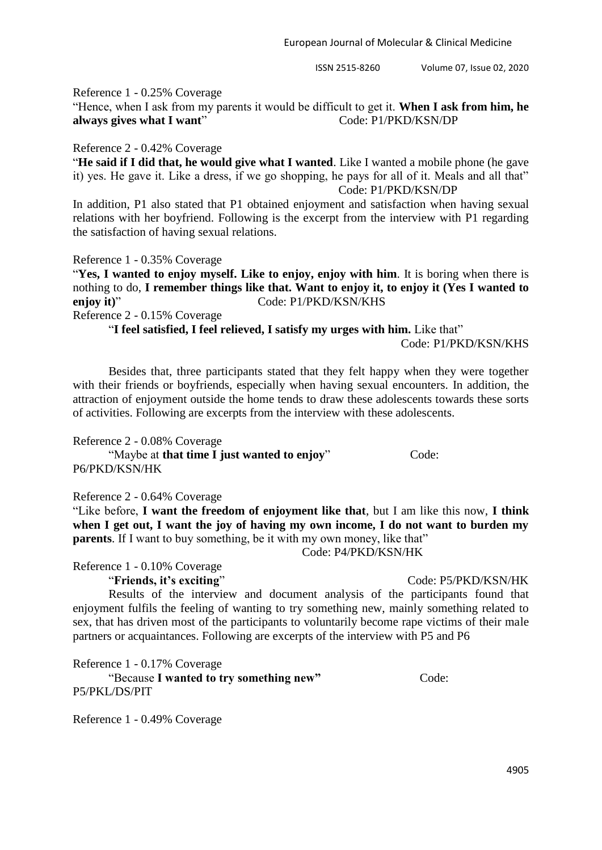Reference 1 - 0.25% Coverage

"Hence, when I ask from my parents it would be difficult to get it. **When I ask from him, he always gives what I want**" Code: P1/PKD/KSN/DP

Reference 2 - 0.42% Coverage

"**He said if I did that, he would give what I wanted**. Like I wanted a mobile phone (he gave it) yes. He gave it. Like a dress, if we go shopping, he pays for all of it. Meals and all that" Code: P1/PKD/KSN/DP

In addition, P1 also stated that P1 obtained enjoyment and satisfaction when having sexual relations with her boyfriend. Following is the excerpt from the interview with P1 regarding the satisfaction of having sexual relations.

Reference 1 - 0.35% Coverage

"**Yes, I wanted to enjoy myself. Like to enjoy, enjoy with him**. It is boring when there is nothing to do, **I remember things like that. Want to enjoy it, to enjoy it (Yes I wanted to enjoy it**)" Code: P1/PKD/KSN/KHS

Reference 2 - 0.15% Coverage

"**I feel satisfied, I feel relieved, I satisfy my urges with him.** Like that"

Code: P1/PKD/KSN/KHS

Besides that, three participants stated that they felt happy when they were together with their friends or boyfriends, especially when having sexual encounters. In addition, the attraction of enjoyment outside the home tends to draw these adolescents towards these sorts of activities. Following are excerpts from the interview with these adolescents.

Reference 2 - 0.08% Coverage

"Maybe at **that time I just wanted to enjoy**" Code: P6/PKD/KSN/HK

Reference 2 - 0.64% Coverage

"Like before, **I want the freedom of enjoyment like that**, but I am like this now, **I think when I get out, I want the joy of having my own income, I do not want to burden my parents**. If I want to buy something, be it with my own money, like that"

Code: P4/PKD/KSN/HK

Reference 1 - 0.10% Coverage "**Friends, it's exciting**" Code: P5/PKD/KSN/HK

Results of the interview and document analysis of the participants found that enjoyment fulfils the feeling of wanting to try something new, mainly something related to sex, that has driven most of the participants to voluntarily become rape victims of their male partners or acquaintances. Following are excerpts of the interview with P5 and P6

Reference 1 - 0.17% Coverage

"Because **I** wanted to try something new" Code: P5/PKL/DS/PIT

Reference 1 - 0.49% Coverage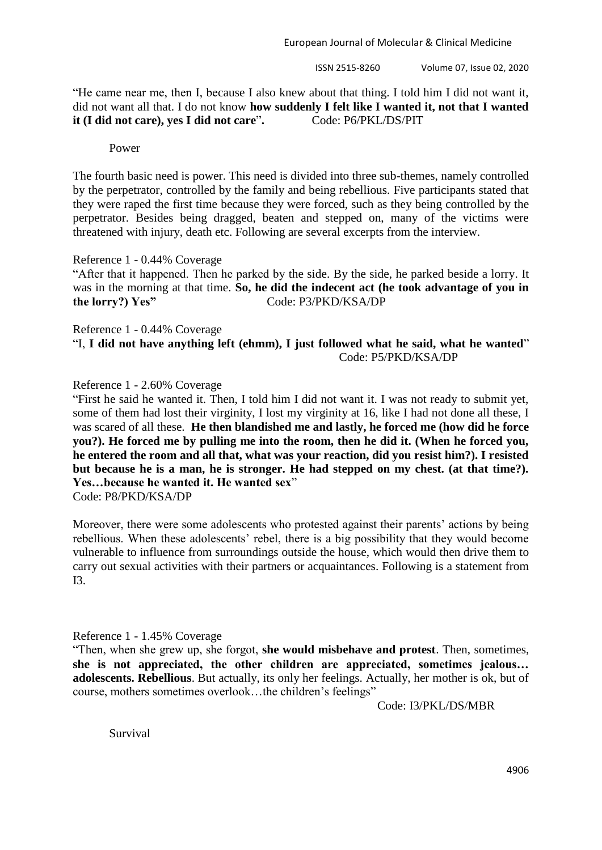ISSN 2515-8260 Volume 07, Issue 02, 2020

"He came near me, then I, because I also knew about that thing. I told him I did not want it, did not want all that. I do not know **how suddenly I felt like I wanted it, not that I wanted it (I did not care), yes I did not care**"**.** Code: P6/PKL/DS/PIT

Power

The fourth basic need is power. This need is divided into three sub-themes, namely controlled by the perpetrator, controlled by the family and being rebellious. Five participants stated that they were raped the first time because they were forced, such as they being controlled by the perpetrator. Besides being dragged, beaten and stepped on, many of the victims were threatened with injury, death etc. Following are several excerpts from the interview.

Reference 1 - 0.44% Coverage

"After that it happened. Then he parked by the side. By the side, he parked beside a lorry. It was in the morning at that time. **So, he did the indecent act (he took advantage of you in the lorry?) Yes"** Code: P3/PKD/KSA/DP

Reference 1 - 0.44% Coverage "I, **I did not have anything left (ehmm), I just followed what he said, what he wanted**" Code: P5/PKD/KSA/DP

Reference 1 - 2.60% Coverage

"First he said he wanted it. Then, I told him I did not want it. I was not ready to submit yet, some of them had lost their virginity, I lost my virginity at 16, like I had not done all these, I was scared of all these. **He then blandished me and lastly, he forced me (how did he force you?). He forced me by pulling me into the room, then he did it. (When he forced you, he entered the room and all that, what was your reaction, did you resist him?). I resisted but because he is a man, he is stronger. He had stepped on my chest. (at that time?). Yes…because he wanted it. He wanted sex**" Code: P8/PKD/KSA/DP

Moreover, there were some adolescents who protested against their parents' actions by being rebellious. When these adolescents' rebel, there is a big possibility that they would become vulnerable to influence from surroundings outside the house, which would then drive them to carry out sexual activities with their partners or acquaintances. Following is a statement from I3.

Reference 1 - 1.45% Coverage

"Then, when she grew up, she forgot, **she would misbehave and protest**. Then, sometimes, **she is not appreciated, the other children are appreciated, sometimes jealous… adolescents. Rebellious**. But actually, its only her feelings. Actually, her mother is ok, but of course, mothers sometimes overlook…the children"s feelings"

Code: I3/PKL/DS/MBR

Survival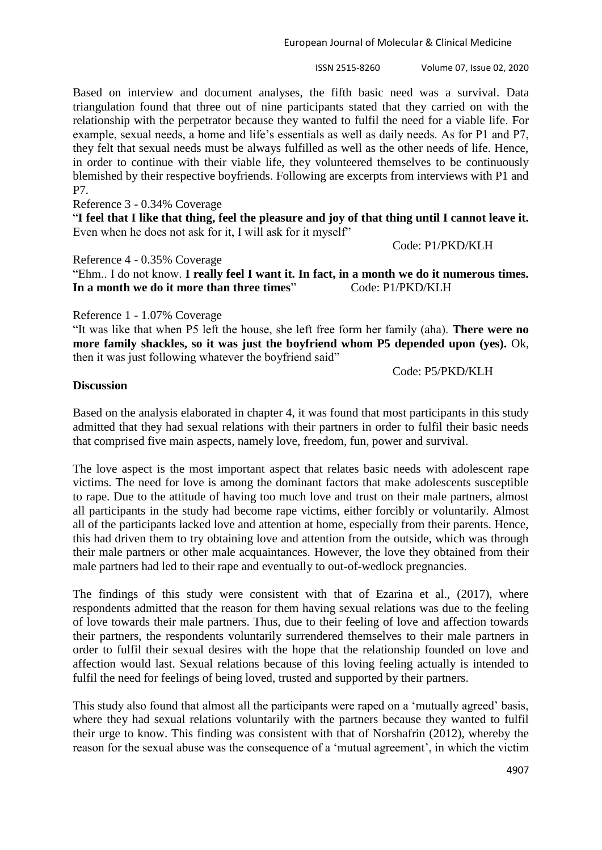ISSN 2515-8260 Volume 07, Issue 02, 2020

Based on interview and document analyses, the fifth basic need was a survival. Data triangulation found that three out of nine participants stated that they carried on with the relationship with the perpetrator because they wanted to fulfil the need for a viable life. For example, sexual needs, a home and life's essentials as well as daily needs. As for P1 and P7, they felt that sexual needs must be always fulfilled as well as the other needs of life. Hence, in order to continue with their viable life, they volunteered themselves to be continuously blemished by their respective boyfriends. Following are excerpts from interviews with P1 and P7.

Reference 3 - 0.34% Coverage

"**I feel that I like that thing, feel the pleasure and joy of that thing until I cannot leave it.** Even when he does not ask for it, I will ask for it myself"

Reference 4 - 0.35% Coverage

"Ehm.. I do not know. **I really feel I want it. In fact, in a month we do it numerous times. In a month we do it more than three times**" Code: P1/PKD/KLH

#### Reference 1 - 1.07% Coverage

"It was like that when P5 left the house, she left free form her family (aha). **There were no more family shackles, so it was just the boyfriend whom P5 depended upon (yes).** Ok, then it was just following whatever the boyfriend said"

Code: P5/PKD/KLH

Code: P1/PKD/KLH

#### **Discussion**

Based on the analysis elaborated in chapter 4, it was found that most participants in this study admitted that they had sexual relations with their partners in order to fulfil their basic needs that comprised five main aspects, namely love, freedom, fun, power and survival.

The love aspect is the most important aspect that relates basic needs with adolescent rape victims. The need for love is among the dominant factors that make adolescents susceptible to rape. Due to the attitude of having too much love and trust on their male partners, almost all participants in the study had become rape victims, either forcibly or voluntarily. Almost all of the participants lacked love and attention at home, especially from their parents. Hence, this had driven them to try obtaining love and attention from the outside, which was through their male partners or other male acquaintances. However, the love they obtained from their male partners had led to their rape and eventually to out-of-wedlock pregnancies.

The findings of this study were consistent with that of Ezarina et al., (2017), where respondents admitted that the reason for them having sexual relations was due to the feeling of love towards their male partners. Thus, due to their feeling of love and affection towards their partners, the respondents voluntarily surrendered themselves to their male partners in order to fulfil their sexual desires with the hope that the relationship founded on love and affection would last. Sexual relations because of this loving feeling actually is intended to fulfil the need for feelings of being loved, trusted and supported by their partners.

This study also found that almost all the participants were raped on a "mutually agreed" basis, where they had sexual relations voluntarily with the partners because they wanted to fulfil their urge to know. This finding was consistent with that of Norshafrin (2012), whereby the reason for the sexual abuse was the consequence of a "mutual agreement", in which the victim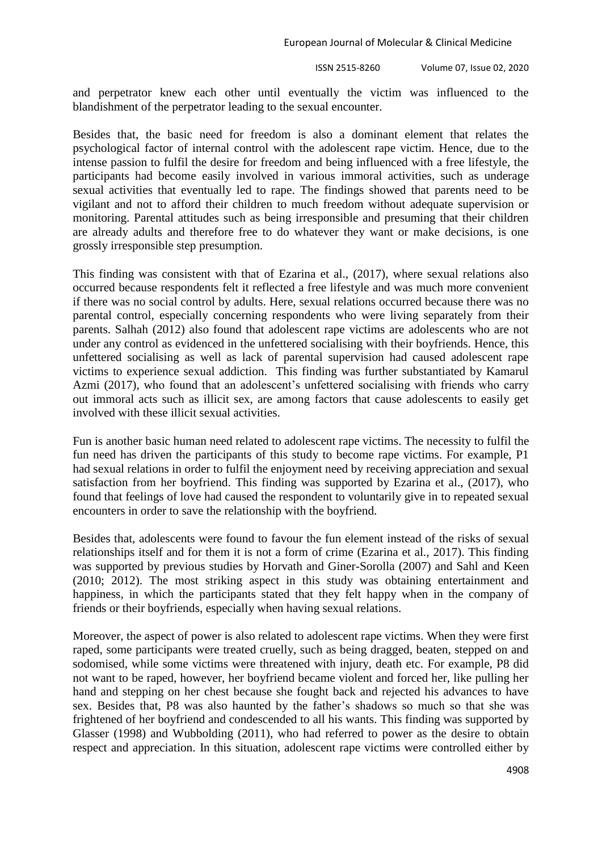ISSN 2515-8260 Volume 07, Issue 02, 2020

and perpetrator knew each other until eventually the victim was influenced to the blandishment of the perpetrator leading to the sexual encounter.

Besides that, the basic need for freedom is also a dominant element that relates the psychological factor of internal control with the adolescent rape victim. Hence, due to the intense passion to fulfil the desire for freedom and being influenced with a free lifestyle, the participants had become easily involved in various immoral activities, such as underage sexual activities that eventually led to rape. The findings showed that parents need to be vigilant and not to afford their children to much freedom without adequate supervision or monitoring. Parental attitudes such as being irresponsible and presuming that their children are already adults and therefore free to do whatever they want or make decisions, is one grossly irresponsible step presumption.

This finding was consistent with that of Ezarina et al., (2017), where sexual relations also occurred because respondents felt it reflected a free lifestyle and was much more convenient if there was no social control by adults. Here, sexual relations occurred because there was no parental control, especially concerning respondents who were living separately from their parents. Salhah (2012) also found that adolescent rape victims are adolescents who are not under any control as evidenced in the unfettered socialising with their boyfriends. Hence, this unfettered socialising as well as lack of parental supervision had caused adolescent rape victims to experience sexual addiction. This finding was further substantiated by Kamarul Azmi (2017), who found that an adolescent's unfettered socialising with friends who carry out immoral acts such as illicit sex, are among factors that cause adolescents to easily get involved with these illicit sexual activities.

Fun is another basic human need related to adolescent rape victims. The necessity to fulfil the fun need has driven the participants of this study to become rape victims. For example, P1 had sexual relations in order to fulfil the enjoyment need by receiving appreciation and sexual satisfaction from her boyfriend. This finding was supported by Ezarina et al., (2017), who found that feelings of love had caused the respondent to voluntarily give in to repeated sexual encounters in order to save the relationship with the boyfriend.

Besides that, adolescents were found to favour the fun element instead of the risks of sexual relationships itself and for them it is not a form of crime (Ezarina et al., 2017). This finding was supported by previous studies by Horvath and Giner-Sorolla (2007) and Sahl and Keen (2010; 2012). The most striking aspect in this study was obtaining entertainment and happiness, in which the participants stated that they felt happy when in the company of friends or their boyfriends, especially when having sexual relations.

Moreover, the aspect of power is also related to adolescent rape victims. When they were first raped, some participants were treated cruelly, such as being dragged, beaten, stepped on and sodomised, while some victims were threatened with injury, death etc. For example, P8 did not want to be raped, however, her boyfriend became violent and forced her, like pulling her hand and stepping on her chest because she fought back and rejected his advances to have sex. Besides that, P8 was also haunted by the father"s shadows so much so that she was frightened of her boyfriend and condescended to all his wants. This finding was supported by Glasser (1998) and Wubbolding (2011), who had referred to power as the desire to obtain respect and appreciation. In this situation, adolescent rape victims were controlled either by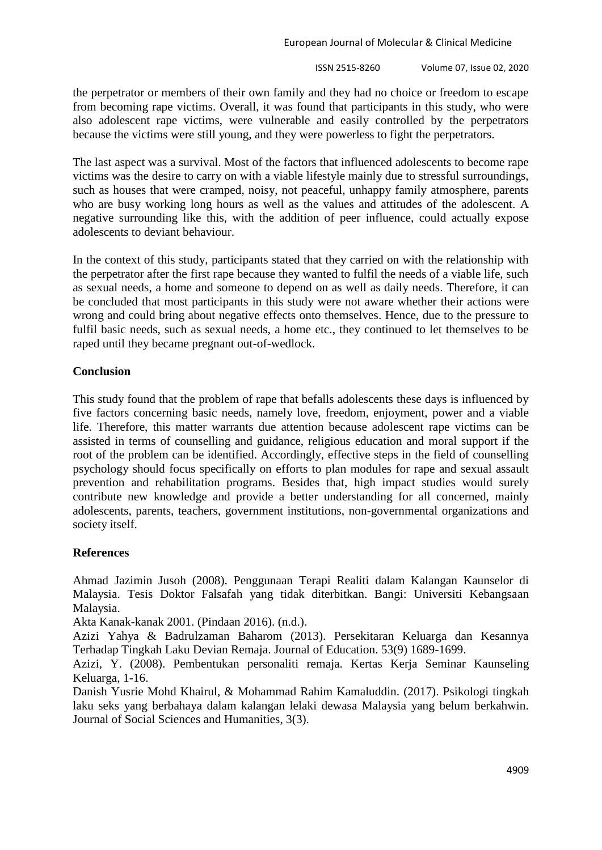the perpetrator or members of their own family and they had no choice or freedom to escape from becoming rape victims. Overall, it was found that participants in this study, who were also adolescent rape victims, were vulnerable and easily controlled by the perpetrators because the victims were still young, and they were powerless to fight the perpetrators.

The last aspect was a survival. Most of the factors that influenced adolescents to become rape victims was the desire to carry on with a viable lifestyle mainly due to stressful surroundings, such as houses that were cramped, noisy, not peaceful, unhappy family atmosphere, parents who are busy working long hours as well as the values and attitudes of the adolescent. A negative surrounding like this, with the addition of peer influence, could actually expose adolescents to deviant behaviour.

In the context of this study, participants stated that they carried on with the relationship with the perpetrator after the first rape because they wanted to fulfil the needs of a viable life, such as sexual needs, a home and someone to depend on as well as daily needs. Therefore, it can be concluded that most participants in this study were not aware whether their actions were wrong and could bring about negative effects onto themselves. Hence, due to the pressure to fulfil basic needs, such as sexual needs, a home etc., they continued to let themselves to be raped until they became pregnant out-of-wedlock.

## **Conclusion**

This study found that the problem of rape that befalls adolescents these days is influenced by five factors concerning basic needs, namely love, freedom, enjoyment, power and a viable life. Therefore, this matter warrants due attention because adolescent rape victims can be assisted in terms of counselling and guidance, religious education and moral support if the root of the problem can be identified. Accordingly, effective steps in the field of counselling psychology should focus specifically on efforts to plan modules for rape and sexual assault prevention and rehabilitation programs. Besides that, high impact studies would surely contribute new knowledge and provide a better understanding for all concerned, mainly adolescents, parents, teachers, government institutions, non-governmental organizations and society itself.

# **References**

Ahmad Jazimin Jusoh (2008). Penggunaan Terapi Realiti dalam Kalangan Kaunselor di Malaysia. Tesis Doktor Falsafah yang tidak diterbitkan. Bangi: Universiti Kebangsaan Malaysia.

Akta Kanak-kanak 2001. (Pindaan 2016). (n.d.).

Azizi Yahya & Badrulzaman Baharom (2013). Persekitaran Keluarga dan Kesannya Terhadap Tingkah Laku Devian Remaja. Journal of Education. 53(9) 1689-1699.

Azizi, Y. (2008). Pembentukan personaliti remaja. Kertas Kerja Seminar Kaunseling Keluarga, 1-16.

Danish Yusrie Mohd Khairul, & Mohammad Rahim Kamaluddin. (2017). Psikologi tingkah laku seks yang berbahaya dalam kalangan lelaki dewasa Malaysia yang belum berkahwin. Journal of Social Sciences and Humanities, 3(3).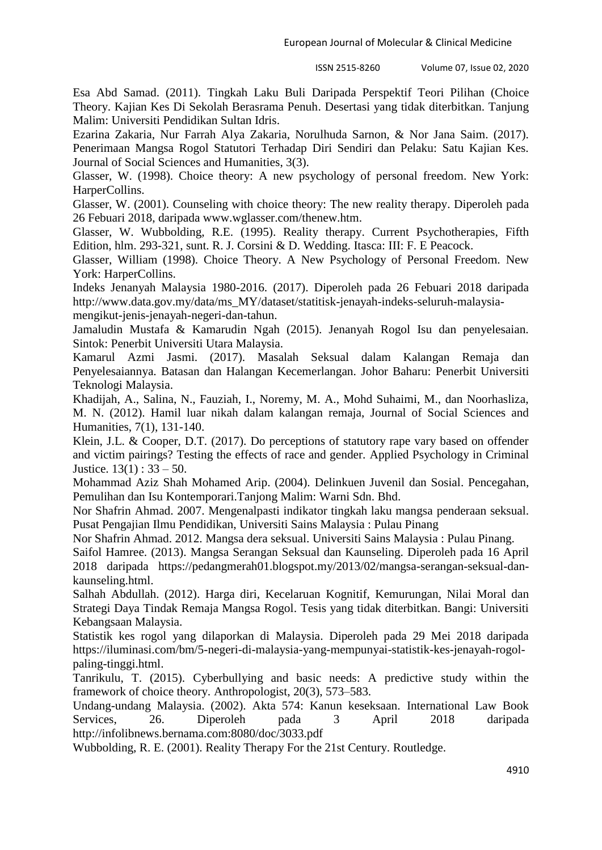Esa Abd Samad. (2011). Tingkah Laku Buli Daripada Perspektif Teori Pilihan (Choice Theory. Kajian Kes Di Sekolah Berasrama Penuh. Desertasi yang tidak diterbitkan. Tanjung Malim: Universiti Pendidikan Sultan Idris.

Ezarina Zakaria, Nur Farrah Alya Zakaria, Norulhuda Sarnon, & Nor Jana Saim. (2017). Penerimaan Mangsa Rogol Statutori Terhadap Diri Sendiri dan Pelaku: Satu Kajian Kes. Journal of Social Sciences and Humanities, 3(3).

Glasser, W. (1998). Choice theory: A new psychology of personal freedom. New York: HarperCollins.

Glasser, W. (2001). Counseling with choice theory: The new reality therapy. Diperoleh pada 26 Febuari 2018, daripada [www.wglasser.com/thenew.htm.](http://www.wglasser.com/thenew.htm)

Glasser, W. Wubbolding, R.E. (1995). Reality therapy. Current Psychotherapies, Fifth Edition, hlm. 293-321, sunt. R. J. Corsini & D. Wedding. Itasca: III: F. E Peacock.

Glasser, William (1998). Choice Theory. A New Psychology of Personal Freedom. New York: HarperCollins.

Indeks Jenanyah Malaysia 1980-2016. (2017). Diperoleh pada 26 Febuari 2018 daripada [http://www.data.gov.my/data/ms\\_MY/dataset/statitisk-jenayah-indeks-seluruh-malaysia](http://www.data.gov.my/data/ms_MY/dataset/statitisk-jenayah-indeks-seluruh-malaysia-mengikut-jenis-jenayah-negeri-dan-tahun)[mengikut-jenis-jenayah-negeri-dan-tahun.](http://www.data.gov.my/data/ms_MY/dataset/statitisk-jenayah-indeks-seluruh-malaysia-mengikut-jenis-jenayah-negeri-dan-tahun)

Jamaludin Mustafa & Kamarudin Ngah (2015). Jenanyah Rogol Isu dan penyelesaian. Sintok: Penerbit Universiti Utara Malaysia.

Kamarul Azmi Jasmi. (2017). Masalah Seksual dalam Kalangan Remaja dan Penyelesaiannya. Batasan dan Halangan Kecemerlangan. Johor Baharu: Penerbit Universiti Teknologi Malaysia.

Khadijah, A., Salina, N., Fauziah, I., Noremy, M. A., Mohd Suhaimi, M., dan Noorhasliza, M. N. (2012). Hamil luar nikah dalam kalangan remaja, Journal of Social Sciences and Humanities, 7(1), 131-140.

Klein, J.L. & Cooper, D.T. (2017). Do perceptions of statutory rape vary based on offender and victim pairings? Testing the effects of race and gender. Applied Psychology in Criminal Justice.  $13(1)$ :  $33 - 50$ .

Mohammad Aziz Shah Mohamed Arip. (2004). Delinkuen Juvenil dan Sosial. Pencegahan, Pemulihan dan Isu Kontemporari.Tanjong Malim: Warni Sdn. Bhd.

Nor Shafrin Ahmad. 2007. Mengenalpasti indikator tingkah laku mangsa penderaan seksual. Pusat Pengajian Ilmu Pendidikan, Universiti Sains Malaysia : Pulau Pinang

Nor Shafrin Ahmad. 2012. Mangsa dera seksual. Universiti Sains Malaysia : Pulau Pinang.

Saifol Hamree. (2013). Mangsa Serangan Seksual dan Kaunseling. Diperoleh pada 16 April 2018 daripada [https://pedangmerah01.blogspot.my/2013/02/mangsa-serangan-seksual-dan](https://pedangmerah01.blogspot.my/2013/02/mangsa-serangan-seksual-dan-kaunseling.html)[kaunseling.html.](https://pedangmerah01.blogspot.my/2013/02/mangsa-serangan-seksual-dan-kaunseling.html)

Salhah Abdullah. (2012). Harga diri, Kecelaruan Kognitif, Kemurungan, Nilai Moral dan Strategi Daya Tindak Remaja Mangsa Rogol. Tesis yang tidak diterbitkan. Bangi: Universiti Kebangsaan Malaysia.

Statistik kes rogol yang dilaporkan di Malaysia. Diperoleh pada 29 Mei 2018 daripada [https://iluminasi.com/bm/5-negeri-di-malaysia-yang-mempunyai-statistik-kes-jenayah-rogol](https://iluminasi.com/bm/5-negeri-di-malaysia-yang-mempunyai-statistik-kes-jenayah-rogol-paling-tinggi.html)[paling-tinggi.html.](https://iluminasi.com/bm/5-negeri-di-malaysia-yang-mempunyai-statistik-kes-jenayah-rogol-paling-tinggi.html)

Tanrikulu, T. (2015). Cyberbullying and basic needs: A predictive study within the framework of choice theory. Anthropologist, 20(3), 573–583.

Undang-undang Malaysia. (2002). Akta 574: Kanun keseksaan. International Law Book Services, 26. Diperoleh pada 3 April 2018 daripada <http://infolibnews.bernama.com:8080/doc/3033.pdf>

Wubbolding, R. E. (2001). Reality Therapy For the 21st Century. Routledge.